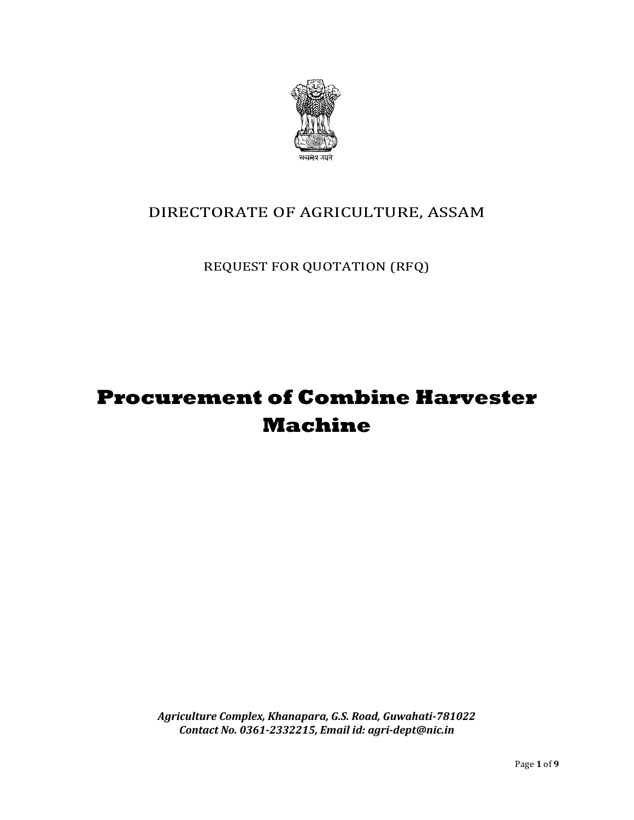

## DIRECTORATE OF AGRICULTURE, ASSAM

REQUEST FOR QUOTATION (RFQ)

# **Procurement of Combine Harvester Machine**

*Agriculture Complex, Khanapara, G.S. Road, Guwahati-781022 Contact No. 0361-2332215, Email id: agri-dept@nic.in*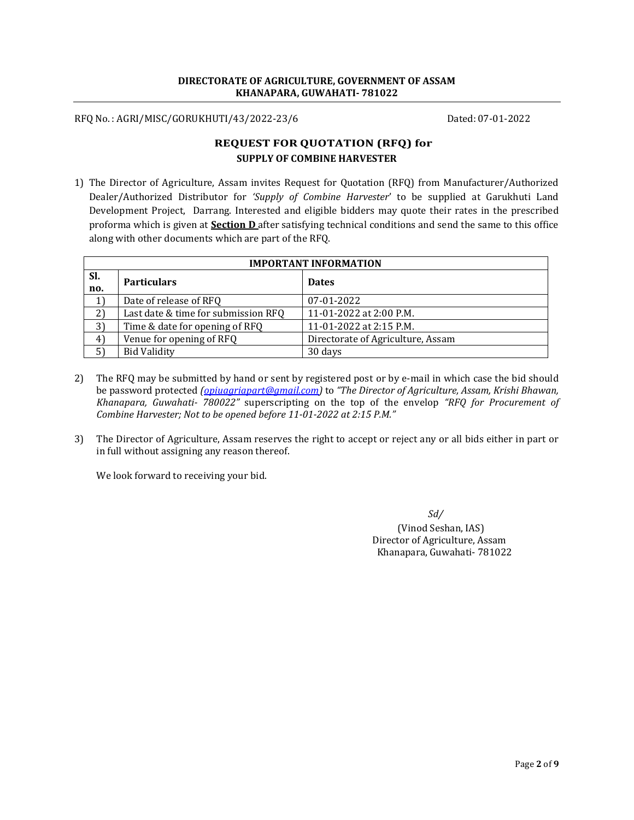#### **DIRECTORATE OF AGRICULTURE, GOVERNMENT OF ASSAM KHANAPARA, GUWAHATI- 781022**

RFQ No. : AGRI/MISC/GORUKHUTI/43/2022-23/6 Dated: 07-01-2022

### **REQUEST FOR QUOTATION (RFQ) for SUPPLY OF COMBINE HARVESTER**

1) The Director of Agriculture, Assam invites Request for Quotation (RFQ) from Manufacturer/Authorized Dealer/Authorized Distributor for *'Supply of Combine Harvester*' to be supplied at Garukhuti Land Development Project, Darrang. Interested and eligible bidders may quote their rates in the prescribed proforma which is given at **Section D** after satisfying technical conditions and send the same to this office along with other documents which are part of the RFQ.

| <b>IMPORTANT INFORMATION</b> |                                     |                                   |  |  |  |
|------------------------------|-------------------------------------|-----------------------------------|--|--|--|
| SI.<br>no.                   | <b>Particulars</b>                  | <b>Dates</b>                      |  |  |  |
| 1)                           | Date of release of RFQ              | 07-01-2022                        |  |  |  |
| 2)                           | Last date & time for submission RFQ | 11-01-2022 at 2:00 P.M.           |  |  |  |
| 3)                           | Time & date for opening of RFQ      | 11-01-2022 at 2:15 P.M.           |  |  |  |
| 4 <sup>1</sup>               | Venue for opening of RFQ            | Directorate of Agriculture, Assam |  |  |  |
| 51                           | <b>Bid Validity</b>                 | 30 days                           |  |  |  |

- 2) The RFQ may be submitted by hand or sent by registered post or by e-mail in which case the bid should be password protected *[\(opiuagriapart@gmail.com\)](mailto:opiuagriapart@gmail.com)* to *"The Director of Agriculture, Assam, Krishi Bhawan, Khanapara, Guwahati- 780022"* superscripting on the top of the envelop *"RFQ for Procurement of Combine Harvester; Not to be opened before 11-01-2022 at 2:15 P.M."*
- 3) The Director of Agriculture, Assam reserves the right to accept or reject any or all bids either in part or in full without assigning any reason thereof.

We look forward to receiving your bid.

 *Sd/*

(Vinod Seshan, IAS) Director of Agriculture, Assam Khanapara, Guwahati- 781022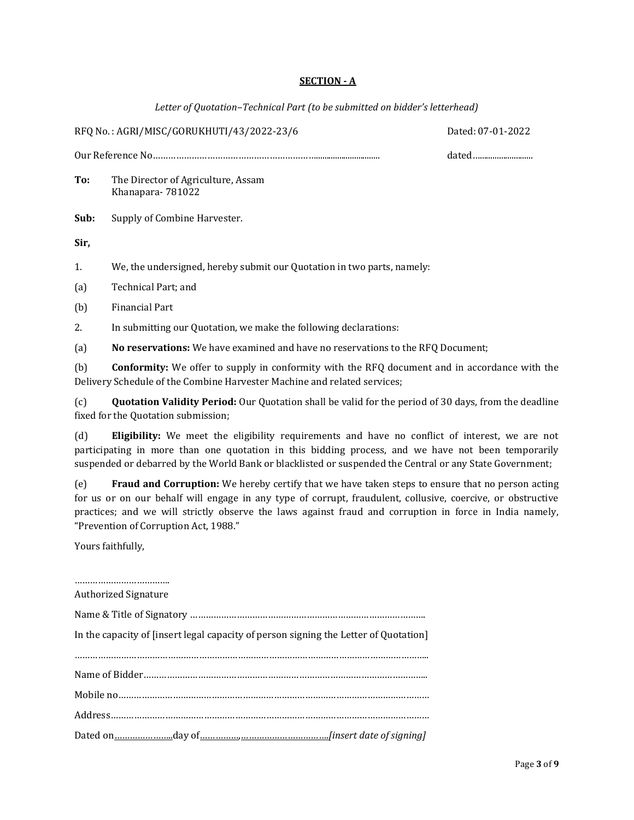#### **SECTION - A**

*Letter of Quotation–Technical Part (to be submitted on bidder's letterhead)*

RFQ No. : AGRI/MISC/GORUKHUTI/43/2022-23/6 Dated: 07-01-2022 Our Reference No……………………………………………………….............................. dated…......................... **To:** The Director of Agriculture, Assam Khanapara- 781022 **Sub:** Supply of Combine Harvester. **Sir,** 1. We, the undersigned, hereby submit our Quotation in two parts, namely: (a) Technical Part; and (b) Financial Part 2. In submitting our Quotation, we make the following declarations: (a) **No reservations:** We have examined and have no reservations to the RFQ Document; (b) **Conformity:** We offer to supply in conformity with the RFQ document and in accordance with the Delivery Schedule of the Combine Harvester Machine and related services; (c) **Quotation Validity Period:** Our Quotation shall be valid for the period of 30 days, from the deadline fixed for the Quotation submission; (d) **Eligibility:** We meet the eligibility requirements and have no conflict of interest, we are not participating in more than one quotation in this bidding process, and we have not been temporarily suspended or debarred by the World Bank or blacklisted or suspended the Central or any State Government; (e) **Fraud and Corruption:** We hereby certify that we have taken steps to ensure that no person acting

for us or on our behalf will engage in any type of corrupt, fraudulent, collusive, coercive, or obstructive practices; and we will strictly observe the laws against fraud and corruption in force in India namely, "Prevention of Corruption Act, 1988."

Yours faithfully,

#### …………………………………… Authorized Signature

| In the capacity of [insert legal capacity of person signing the Letter of Quotation] |
|--------------------------------------------------------------------------------------|
|                                                                                      |
|                                                                                      |
|                                                                                      |
|                                                                                      |
|                                                                                      |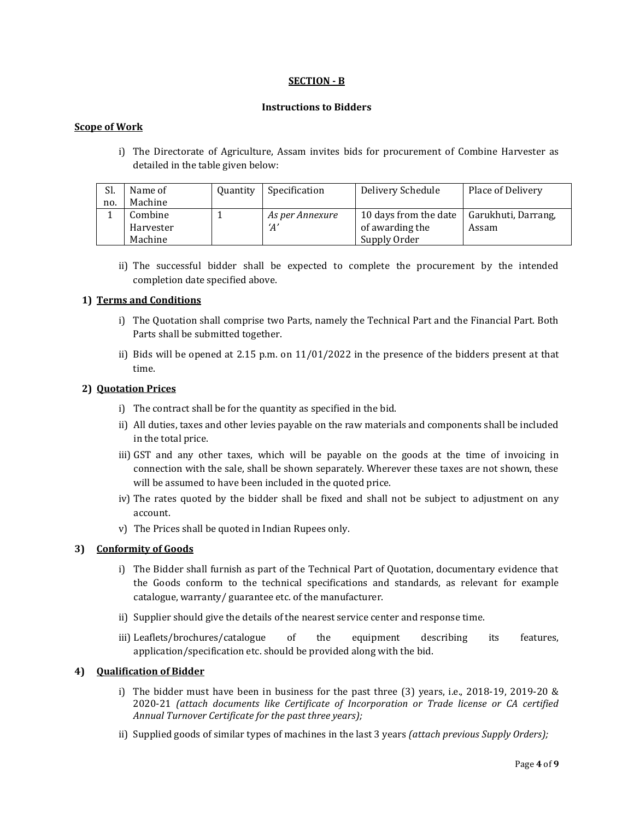#### **SECTION - B**

#### **Instructions to Bidders**

#### **Scope of Work**

i) The Directorate of Agriculture, Assam invites bids for procurement of Combine Harvester as detailed in the table given below:

| Sl. | Name of   | <b>Quantity</b> | Specification   | Delivery Schedule     | Place of Delivery   |
|-----|-----------|-----------------|-----------------|-----------------------|---------------------|
| no. | Machine   |                 |                 |                       |                     |
|     | Combine   |                 | As per Annexure | 10 days from the date | Garukhuti, Darrang, |
|     | Harvester |                 | 'A'             | of awarding the       | Assam               |
|     | Machine   |                 |                 | Supply Order          |                     |

ii) The successful bidder shall be expected to complete the procurement by the intended completion date specified above.

#### **1) Terms and Conditions**

- i) The Quotation shall comprise two Parts, namely the Technical Part and the Financial Part. Both Parts shall be submitted together.
- ii) Bids will be opened at 2.15 p.m. on  $11/01/2022$  in the presence of the bidders present at that time.

#### **2) Quotation Prices**

- i) The contract shall be for the quantity as specified in the bid.
- ii) All duties, taxes and other levies payable on the raw materials and components shall be included in the total price.
- iii) GST and any other taxes, which will be payable on the goods at the time of invoicing in connection with the sale, shall be shown separately. Wherever these taxes are not shown, these will be assumed to have been included in the quoted price.
- iv) The rates quoted by the bidder shall be fixed and shall not be subject to adjustment on any account.
- v) The Prices shall be quoted in Indian Rupees only.

#### **3) Conformity of Goods**

- i) The Bidder shall furnish as part of the Technical Part of Quotation, documentary evidence that the Goods conform to the technical specifications and standards, as relevant for example catalogue, warranty/ guarantee etc. of the manufacturer.
- ii) Supplier should give the details of the nearest service center and response time.
- iii) Leaflets/brochures/catalogue of the equipment describing its features, application/specification etc. should be provided along with the bid.

#### **4) Qualification of Bidder**

- i) The bidder must have been in business for the past three  $(3)$  years, i.e., 2018-19, 2019-20 & 2020-21 *(attach documents like Certificate of Incorporation or Trade license or CA certified Annual Turnover Certificate for the past three years);*
- ii) Supplied goods of similar types of machines in the last 3 years *(attach previous Supply Orders);*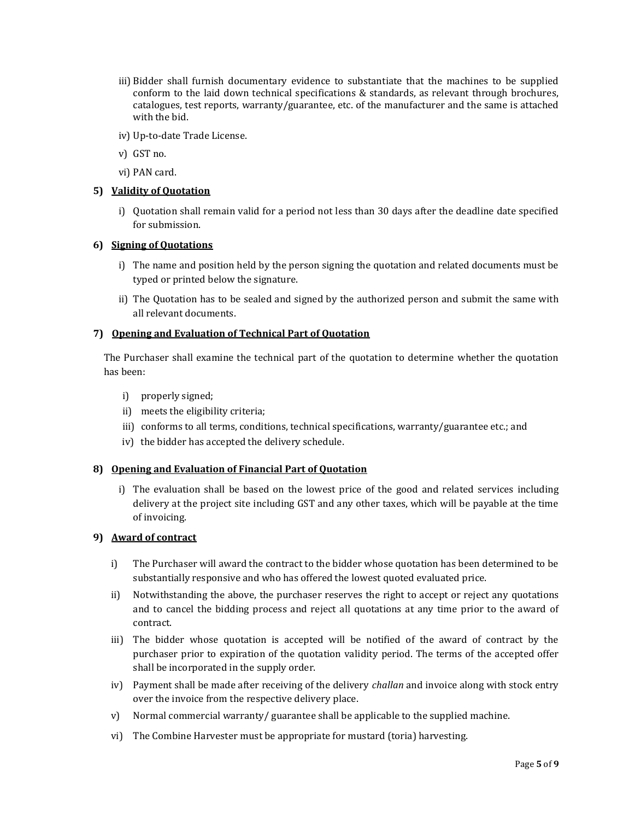- iii) Bidder shall furnish documentary evidence to substantiate that the machines to be supplied conform to the laid down technical specifications & standards, as relevant through brochures, catalogues, test reports, warranty/guarantee, etc. of the manufacturer and the same is attached with the bid.
- iv) Up-to-date Trade License.
- v) GST no.
- vi) PAN card.

#### **5) Validity of Quotation**

i) Quotation shall remain valid for a period not less than 30 days after the deadline date specified for submission.

#### **6) Signing of Quotations**

- i) The name and position held by the person signing the quotation and related documents must be typed or printed below the signature.
- ii) The Quotation has to be sealed and signed by the authorized person and submit the same with all relevant documents.

#### **7) Opening and Evaluation of Technical Part of Quotation**

The Purchaser shall examine the technical part of the quotation to determine whether the quotation has been:

- i) properly signed;
- ii) meets the eligibility criteria;
- iii) conforms to all terms, conditions, technical specifications, warranty/guarantee etc.; and
- iv) the bidder has accepted the delivery schedule.

#### **8) Opening and Evaluation of Financial Part of Quotation**

i) The evaluation shall be based on the lowest price of the good and related services including delivery at the project site including GST and any other taxes, which will be payable at the time of invoicing.

#### **9) Award of contract**

- i) The Purchaser will award the contract to the bidder whose quotation has been determined to be substantially responsive and who has offered the lowest quoted evaluated price.
- ii) Notwithstanding the above, the purchaser reserves the right to accept or reject any quotations and to cancel the bidding process and reject all quotations at any time prior to the award of contract.
- iii) The bidder whose quotation is accepted will be notified of the award of contract by the purchaser prior to expiration of the quotation validity period. The terms of the accepted offer shall be incorporated in the supply order.
- iv) Payment shall be made after receiving of the delivery *challan* and invoice along with stock entry over the invoice from the respective delivery place.
- v) Normal commercial warranty/ guarantee shall be applicable to the supplied machine.
- vi) The Combine Harvester must be appropriate for mustard (toria) harvesting.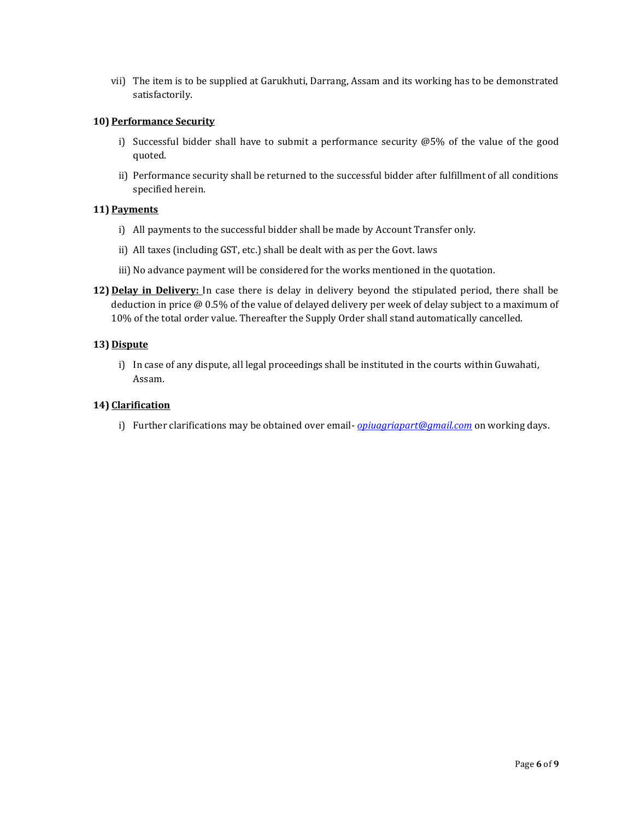vii) The item is to be supplied at Garukhuti, Darrang, Assam and its working has to be demonstrated satisfactorily.

#### **10) Performance Security**

- i) Successful bidder shall have to submit a performance security @5% of the value of the good quoted.
- ii) Performance security shall be returned to the successful bidder after fulfillment of all conditions specified herein.

#### **11) Payments**

- i) All payments to the successful bidder shall be made by Account Transfer only.
- ii) All taxes (including GST, etc.) shall be dealt with as per the Govt. laws
- iii) No advance payment will be considered for the works mentioned in the quotation.
- **12) Delay in Delivery:** In case there is delay in delivery beyond the stipulated period, there shall be deduction in price @ 0.5% of the value of delayed delivery per week of delay subject to a maximum of 10% of the total order value. Thereafter the Supply Order shall stand automatically cancelled.

#### **13) Dispute**

i) In case of any dispute, all legal proceedings shall be instituted in the courts within Guwahati, Assam.

#### **14) Clarification**

i) Further clarifications may be obtained over email- *[opiuagriapart@gmail.com](mailto:opiuagriapart@gmail.com)* on working days.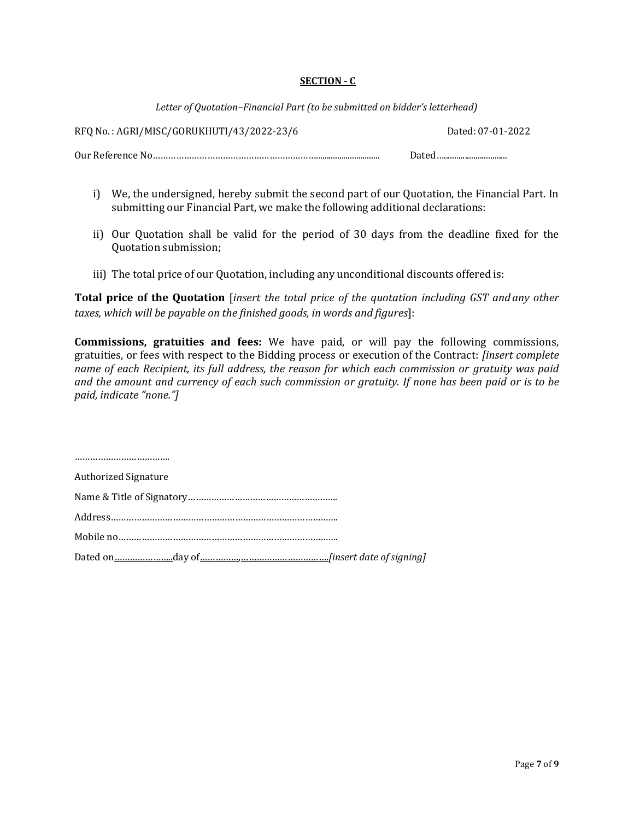#### **SECTION - C**

*Letter of Quotation–Financial Part (to be submitted on bidder's letterhead)*

RFQ No. : AGRI/MISC/GORUKHUTI/43/2022-23/6 Dated: 07-01-2022

Our Reference No……………………………………………………….............................. Dated…..............................

- i) We, the undersigned, hereby submit the second part of our Quotation, the Financial Part. In submitting our Financial Part, we make the following additional declarations:
- ii) Our Quotation shall be valid for the period of 30 days from the deadline fixed for the Quotation submission;
- iii) The total price of our Quotation, including any unconditional discounts offered is:

**Total price of the Quotation** [*insert the total price of the quotation including GST and any other taxes, which will be payable on the finished goods, in words and figures*]:

**Commissions, gratuities and fees:** We have paid, or will pay the following commissions, gratuities, or fees with respect to the Bidding process or execution of the Contract: *[insert complete name of each Recipient, its full address, the reason for which each commission or gratuity was paid and the amount and currency of each such commission or gratuity. If none has been paid or is to be paid, indicate "none."]*

………………………………. Authorized Signature Name & Title of Signatory…………………………………………………. Address……………………………………………………………………………. Mobile no…………………………………………………………………………. Dated on…………………..day of……………,…………………………….*[insert date of signing]*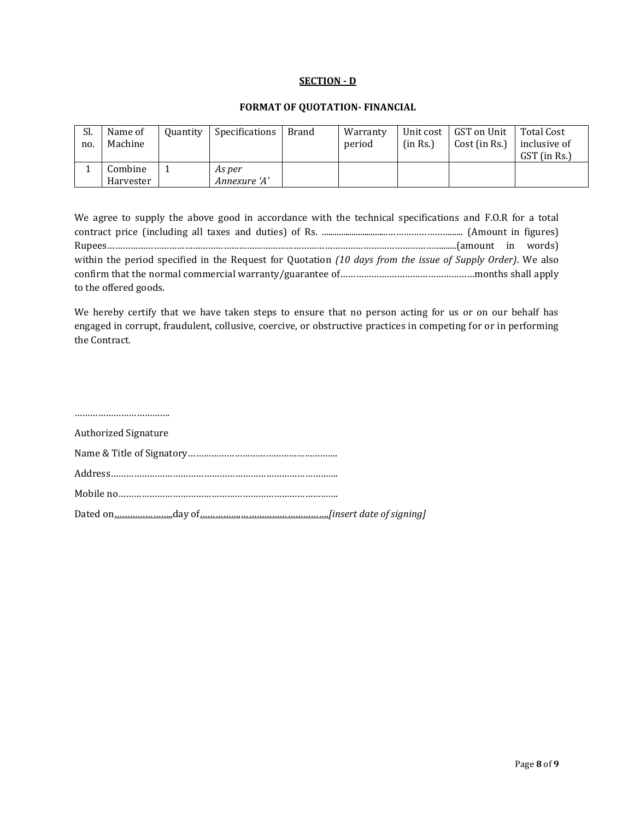#### **SECTION - D**

#### **FORMAT OF QUOTATION- FINANCIAL**

| Sl.<br>no. | Name of<br>Machine   | <b>Quantity</b> | Specifications         | Brand | Warranty<br>period | (in Rs.) | Unit cost   GST on Unit<br>Cost (in Rs.) | Total Cost<br>inclusive of<br>GST (in Rs.) |
|------------|----------------------|-----------------|------------------------|-------|--------------------|----------|------------------------------------------|--------------------------------------------|
|            | Combine<br>Harvester |                 | As per<br>Annexure 'A' |       |                    |          |                                          |                                            |

| We agree to supply the above good in accordance with the technical specifications and F.O.R for a total    |  |
|------------------------------------------------------------------------------------------------------------|--|
|                                                                                                            |  |
|                                                                                                            |  |
| within the period specified in the Request for Quotation (10 days from the issue of Supply Order). We also |  |
|                                                                                                            |  |
| to the offered goods.                                                                                      |  |

We hereby certify that we have taken steps to ensure that no person acting for us or on our behalf has engaged in corrupt, fraudulent, collusive, coercive, or obstructive practices in competing for or in performing the Contract.

| <b>Authorized Signature</b> |
|-----------------------------|
|                             |
|                             |
|                             |
|                             |